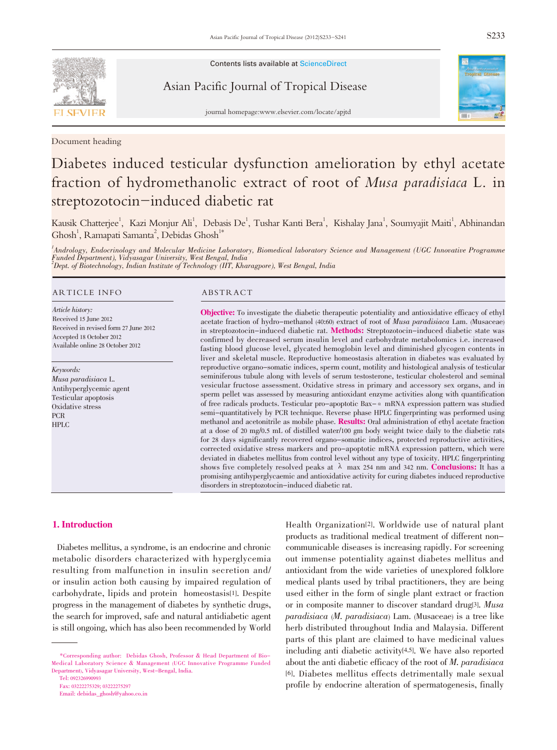

Contents lists available at ScienceDirect

Asian Pacific Journal of Tropical Disease



journal homepage:www.elsevier.com/locate/apjtd

Document heading

# Diabetes induced testicular dysfunction amelioration by ethyl acetate fraction of hydromethanolic extract of root of Musa paradisiaca L. in streptozotocin-induced diabetic rat

Kausik Chatterjee<sup>1</sup>, Kazi Monjur Ali<sup>1</sup>, Debasis De<sup>1</sup>, Tushar Kanti Bera<sup>1</sup>, Kishalay Jana<sup>1</sup>, Soumyajit Maiti<sup>1</sup>, Abhinandan Ghosh<sup>1</sup>, Ramapati Samanta<sup>2</sup>, Debidas Ghosh<sup>1\*</sup>

<sup>1</sup>Andrology, Endocrinology and Molecular Medicine Laboratory, Biomedical laboratory Science and Management (UGC Innovative Programme Funded Department), Vidyasagar University, West Bengal, India 2 Dept. of Biotechnology, Indian Institute of Technology (IIT, Kharagpore), West Bengal, India

# ARTICLE INFO ABSTRACT

Article history: Received 15 June 2012 Received in revised form 27 June 2012 Accepted 18 October 2012 Available online 28 October 2012

Keywords: Musa paradisiaca L. Antihyperglycemic agent Testicular apoptosis Oxidative stress PCR HPLC

Objective: To investigate the diabetic therapeutic potentiality and antioxidative efficacy of ethyl acetate fraction of hydro-methanol (40:60) extract of root of Musa paradisiaca Lam. (Musaceae) in streptozotocin-induced diabetic rat. Methods: Streptozotocin-induced diabetic state was confirmed by decreased serum insulin level and carbohydrate metabolomics i.e. increased fasting blood glucose level, glycated hemoglobin level and diminished glycogen contents in liver and skeletal muscle. Reproductive homeostasis alteration in diabetes was evaluated by reproductive organo-somatic indices, sperm count, motility and histological analysis of testicular seminiferous tubule along with levels of serum testosterone, testicular cholesterol and seminal vesicular fructose assessment. Oxidative stress in primary and accessory sex organs, and in sperm pellet was assessed by measuring antioxidant enzyme activities along with quantification of free radicals products. Testicular pro-apoptotic Bax- $\alpha$  mRNA expression pattern was studied semi-quantitatively by PCR technique. Reverse phase HPLC fingerprinting was performed using methanol and acetonitrile as mobile phase. **Results:** Oral administration of ethyl acetate fraction at a dose of 20 mg/0.5 mL of distilled water/100 gm body weight twice daily to the diabetic rats for 28 days significantly recovered organo-somatic indices, protected reproductive activities, corrected oxidative stress markers and pro-apoptotic mRNA expression pattern, which were deviated in diabetes mellitus from control level without any type of toxicity. HPLC fingerprinting shows five completely resolved peaks at  $\lambda$  max 254 nm and 342 nm. **Conclusions:** It has a promising antihyperglycaemic and antioxidative activity for curing diabetes induced reproductive disorders in streptozotocin-induced diabetic rat.

#### 1. Introduction

Diabetes mellitus, a syndrome, is an endocrine and chronic metabolic disorders characterized with hyperglycemia resulting from malfunction in insulin secretion and/ or insulin action both causing by impaired regulation of carbohydrate, lipids and protein homeostasis[1]. Despite progress in the management of diabetes by synthetic drugs, the search for improved, safe and natural antidiabetic agent is still ongoing, which has also been recommended by World

Tel: 092326990993

products as traditional medical treatment of different noncommunicable diseases is increasing rapidly. For screening out immense potentiality against diabetes mellitus and antioxidant from the wide varieties of unexplored folklore medical plants used by tribal practitioners, they are being used either in the form of single plant extract or fraction or in composite manner to discover standard drug[3]. Musa paradisiaca (M. paradisiaca) Lam. (Musaceae) is a tree like herb distributed throughout India and Malaysia. Different parts of this plant are claimed to have medicinal values including anti diabetic activity[4,5]. We have also reported about the anti diabetic efficacy of the root of M. paradisiaca [6]. Diabetes mellitus effects detrimentally male sexual profile by endocrine alteration of spermatogenesis, finally

Health Organization[2]. Worldwide use of natural plant

<sup>\*</sup>Corresponding author: Debidas Ghosh, Professor & Head Department of Bio-Medical Laboratory Science & Management (UGC Innovative Programme Funded Department), Vidyasagar University, West-Bengal, India.

Fax: 03222275329; 03222275297

Email: debidas\_ghosh@yahoo.co.in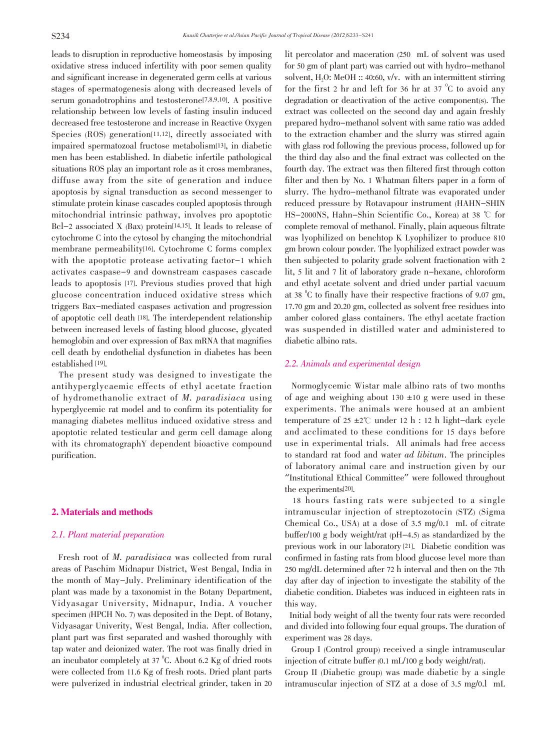leads to disruption in reproductive homeostasis by imposing oxidative stress induced infertility with poor semen quality and significant increase in degenerated germ cells at various stages of spermatogenesis along with decreased levels of serum gonadotrophins and testosterone[7,8,9,10]. A positive relationship between low levels of fasting insulin induced decreased free testosterone and increase in Reactive Oxygen Species (ROS) generation[11,12], directly associated with impaired spermatozoal fructose metabolism[13], in diabetic men has been established. In diabetic infertile pathological situations ROS play an important role as it cross membranes, diffuse away from the site of generation and induce apoptosis by signal transduction as second messenger to stimulate protein kinase cascades coupled apoptosis through mitochondrial intrinsic pathway, involves pro apoptotic Bcl-2 associated X (Bax) protein[14,15]. It leads to release of cytochrome C into the cytosol by changing the mitochondrial membrane permeability[16]. Cytochrome C forms complex with the apoptotic protease activating factor-1 which activates caspase-9 and downstream caspases cascade leads to apoptosis [17]. Previous studies proved that high glucose concentration induced oxidative stress which triggers Bax-mediated caspases activation and progression of apoptotic cell death [18]. The interdependent relationship between increased levels of fasting blood glucose, glycated hemoglobin and over expression of Bax mRNA that magnifies cell death by endothelial dysfunction in diabetes has been established [19].

The present study was designed to investigate the antihyperglycaemic effects of ethyl acetate fraction of hydromethanolic extract of M. paradisiaca using hyperglycemic rat model and to confirm its potentiality for managing diabetes mellitus induced oxidative stress and apoptotic related testicular and germ cell damage along with its chromatographY dependent bioactive compound purification.

#### 2. Materials and methods

### 2.1. Plant material preparation

Fresh root of M. paradisiaca was collected from rural areas of Paschim Midnapur District, West Bengal, India in the month of May-July. Preliminary identification of the plant was made by a taxonomist in the Botany Department, Vidyasagar University, Midnapur, India. A voucher specimen (HPCH No. 7) was deposited in the Dept. of Botany, Vidyasagar Univerity, West Bengal, India. After collection, plant part was first separated and washed thoroughly with tap water and deionized water. The root was finally dried in an incubator completely at  $37^{\circ}$ C. About 6.2 Kg of dried roots were collected from 11.6 Kg of fresh roots. Dried plant parts were pulverized in industrial electrical grinder, taken in 20 lit percolator and maceration (250 mL of solvent was used for 50 gm of plant part) was carried out with hydro-methanol solvent,  $H<sub>2</sub>O$ : MeOH :: 40:60, v/v. with an intermittent stirring for the first 2 hr and left for 36 hr at 37  $\mathrm{^0C}$  to avoid any degradation or deactivation of the active component(s). The extract was collected on the second day and again freshly prepared hydro-methanol solvent with same ratio was added to the extraction chamber and the slurry was stirred again with glass rod following the previous process, followed up for the third day also and the final extract was collected on the fourth day. The extract was then filtered first through cotton filter and then by No. 1 Whatman filters paper in a form of slurry. The hydro-methanol filtrate was evaporated under reduced pressure by Rotavapour instrument (HAHN-SHIN HS-2000NS, Hahn-Shin Scientific Co., Korea) at 38  $\degree$ C for complete removal of methanol. Finally, plain aqueous filtrate was lyophilized on benchtop K Lyophilizer to produce 810 gm brown colour powder. The lyophilized extract powder was then subjected to polarity grade solvent fractionation with 2 lit, 5 lit and 7 lit of laboratory grade n-hexane, chloroform and ethyl acetate solvent and dried under partial vacuum at 38  $\degree$ C to finally have their respective fractions of 9.07 gm, 17.70 gm and 20.20 gm, collected as solvent free residues into amber colored glass containers. The ethyl acetate fraction was suspended in distilled water and administered to diabetic albino rats.

# 2.2. Animals and experimental design

Normoglycemic Wistar male albino rats of two months of age and weighing about 130  $\pm$ 10 g were used in these experiments. The animals were housed at an ambient temperature of  $25 \pm 2^{\circ}$  under 12 h : 12 h light-dark cycle and acclimated to these conditions for 15 days before use in experimental trials. All animals had free access to standard rat food and water ad libitum. The principles of laboratory animal care and instruction given by our "Institutional Ethical Committee" were followed throughout the experiments[20].

18 hours fasting rats were subjected to a single intramuscular injection of streptozotocin (STZ) (Sigma Chemical Co., USA) at a dose of 3.5 mg/0.1 mL of citrate buffer/100 g body weight/rat (pH-4.5) as standardized by the previous work in our laboratory [21]. Diabetic condition was confirmed in fasting rats from blood glucose level more than 250 mg/dL determined after 72 h interval and then on the 7th day after day of injection to investigate the stability of the diabetic condition. Diabetes was induced in eighteen rats in this way.

Initial body weight of all the twenty four rats were recorded and divided into following four equal groups. The duration of experiment was 28 days.

Group I (Control group) received a single intramuscular injection of citrate buffer (0.1 mL/100 g body weight/rat).

Group II (Diabetic group) was made diabetic by a single intramuscular injection of STZ at a dose of 3.5 mg/0.l mL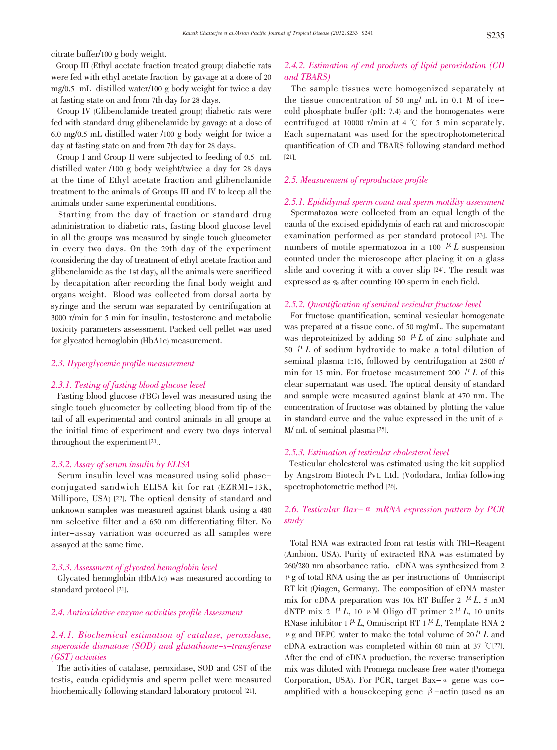citrate buffer/100 g body weight.

Group III (Ethyl acetate fraction treated group) diabetic rats were fed with ethyl acetate fraction by gavage at a dose of 20 mg/0.5 mL distilled water/100 g body weight for twice a day at fasting state on and from 7th day for 28 days.

Group IV (Glibenclamide treated group) diabetic rats were fed with standard drug glibenclamide by gavage at a dose of 6.0 mg/0.5 mL distilled water /100 g body weight for twice a day at fasting state on and from 7th day for 28 days.

Group I and Group II were subjected to feeding of 0.5 mL distilled water /100 g body weight/twice a day for 28 days at the time of Ethyl acetate fraction and glibenclamide treatment to the animals of Groups III and IV to keep all the animals under same experimental conditions.

Starting from the day of fraction or standard drug administration to diabetic rats, fasting blood glucose level in all the groups was measured by single touch glucometer in every two days. On the 29th day of the experiment (considering the day of treatment of ethyl acetate fraction and glibenclamide as the 1st day), all the animals were sacrificed by decapitation after recording the final body weight and organs weight. Blood was collected from dorsal aorta by syringe and the serum was separated by centrifugation at 3000 r/min for 5 min for insulin, testosterone and metabolic toxicity parameters assessment. Packed cell pellet was used for glycated hemoglobin (HbA1c) measurement.

# 2.3. Hyperglycemic profile measurement

#### 2.3.1. Testing of fasting blood glucose level

Fasting blood glucose (FBG) level was measured using the single touch glucometer by collecting blood from tip of the tail of all experimental and control animals in all groups at the initial time of experiment and every two days interval throughout the experiment [21].

#### 2.3.2. Assay of serum insulin by ELISA

Serum insulin level was measured using solid phaseconjugated sandwich ELISA kit for rat (EZRMI-13K, Millipore, USA) [22]. The optical density of standard and unknown samples was measured against blank using a 480 nm selective filter and a 650 nm differentiating filter. No inter-assay variation was occurred as all samples were assayed at the same time.

# 2.3.3. Assessment of glycated hemoglobin level

Glycated hemoglobin (HbA1c) was measured according to standard protocol [21].

# 2.4. Antioxidative enzyme activities profile Assessment

# 2.4.1. Biochemical estimation of catalase, peroxidase, superoxide dismutase (SOD) and glutathione-s-transferase (GST) activities

The activities of catalase, peroxidase, SOD and GST of the testis, cauda epididymis and sperm pellet were measured biochemically following standard laboratory protocol [21].

# 2.4.2. Estimation of end products of lipid peroxidation (CD and TBARS)

The sample tissues were homogenized separately at the tissue concentration of 50 mg/ mL in 0.1 M of icecold phosphate buffer (pH: 7.4) and the homogenates were centrifuged at 10000 r/min at 4  $\degree$ C for 5 min separately. Each supernatant was used for the spectrophotometerical quantification of CD and TBARS following standard method [21].

#### 2.5. Measurement of reproductive profile

# 2.5.1. Epididymal sperm count and sperm motility assessment

Spermatozoa were collected from an equal length of the cauda of the excised epididymis of each rat and microscopic examination performed as per standard protocol [23]. The numbers of motile spermatozoa in a 100  $\mu$  L suspension counted under the microscope after placing it on a glass slide and covering it with a cover slip [24]. The result was expressed as % after counting 100 sperm in each field.

# 2.5.2. Quantification of seminal vesicular fructose level

For fructose quantification, seminal vesicular homogenate was prepared at a tissue conc. of 50 mg/mL. The supernatant was deproteinized by adding 50  $\mu$  L of zinc sulphate and 50  $\mu$  L of sodium hydroxide to make a total dilution of seminal plasma 1:16, followed by centrifugation at 2500 r/ min for 15 min. For fructose measurement 200  $\mu$  L of this clear supernatant was used. The optical density of standard and sample were measured against blank at 470 nm. The concentration of fructose was obtained by plotting the value in standard curve and the value expressed in the unit of  $\mu$ M/ mL of seminal plasma [25].

#### 2.5.3. Estimation of testicular cholesterol level

Testicular cholesterol was estimated using the kit supplied by Angstrom Biotech Pvt. Ltd. (Vododara, India) following spectrophotometric method [26].

# 2.6. Testicular Bax- $\alpha$  mRNA expression pattern by PCR study

Total RNA was extracted from rat testis with TRI-Reagent (Ambion, USA). Purity of extracted RNA was estimated by 260/280 nm absorbance ratio. cDNA was synthesized from 2  $\mu$ g of total RNA using the as per instructions of Omniscript RT kit (Qiagen, Germany). The composition of cDNA master mix for cDNA preparation was 10x RT Buffer 2  $^{\mu}$  L, 5 mM dNTP mix 2  $^{\mu}L$ , 10  $^{\mu}$ M Oligo dT primer 2 $^{\mu}L$ , 10 units RNase inhibitor 1<sup> $\mu$ </sup>L, Omniscript RT 1<sup> $\mu$ </sup>L, Template RNA 2  $\mu$  g and DEPC water to make the total volume of 20<sup> $\mu$ </sup>L and cDNA extraction was completed within 60 min at 37 °C[27]. After the end of cDNA production, the reverse transcription mix was diluted with Promega nuclease free water (Promega Corporation, USA). For PCR, target Bax- $\alpha$  gene was coamplified with a housekeeping gene  $\beta$ -actin (used as an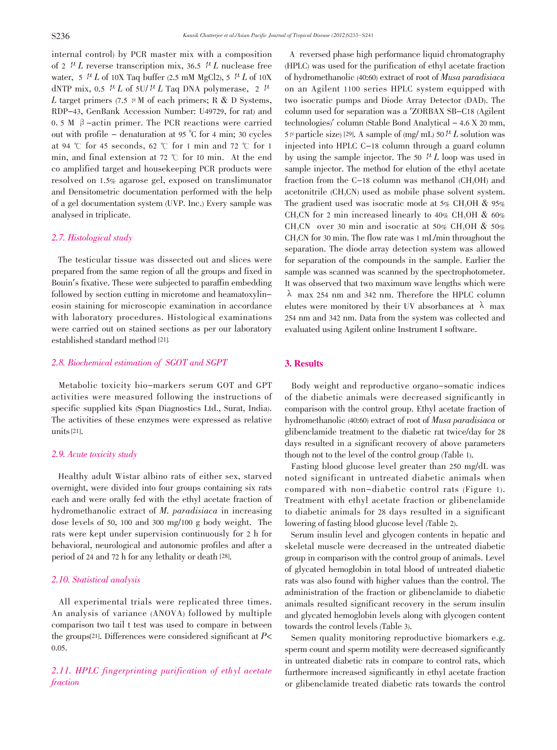internal control) by PCR master mix with a composition of 2  $^{\mu}$  L reverse transcription mix, 36.5  $^{\mu}$  L nuclease free water, 5  $\mu$  L of 10X Taq buffer (2.5 mM MgCl2), 5  $\mu$  L of 10X dNTP mix, 0.5  $\mu$  L of 5U/ $\mu$  L Taq DNA polymerase, 2  $\mu$ L target primers (7.5  $\mu$  M of each primers; R & D Systems, RDP-43, GenBank Accession Number: U49729, for rat) and 0.5 M  $\beta$  -actin primer. The PCR reactions were carried out with profile – denaturation at  $95^{\circ}$ C for 4 min; 30 cycles at 94  $\degree$  for 45 seconds, 62  $\degree$  for 1 min and 72  $\degree$  for 1 min, and final extension at 72  $\degree$  for 10 min. At the end co amplified target and housekeeping PCR products were resolved on 1.5% agarose gel, exposed on translimunator and Densitometric documentation performed with the help of a gel documentation system (UVP. Inc.) Every sample was analysed in triplicate.

# 2.7. Histological study

The testicular tissue was dissected out and slices were prepared from the same region of all the groups and fixed in Bouin's fixative. These were subjected to paraffin embedding followed by section cutting in microtome and heamatoxylineosin staining for microscopic examination in accordance with laboratory procedures. Histological examinations were carried out on stained sections as per our laboratory established standard method [21].

#### 2.8. Biochemical estimation of SGOT and SGPT

Metabolic toxicity bio-markers serum GOT and GPT activities were measured following the instructions of specific supplied kits (Span Diagnostics Ltd., Surat, India). The activities of these enzymes were expressed as relative units [21].

# 2.9. Acute toxicity study

Healthy adult Wistar albino rats of either sex, starved overnight, were divided into four groups containing six rats each and were orally fed with the ethyl acetate fraction of hydromethanolic extract of M. paradisiaca in increasing dose levels of 50, 100 and 300 mg/100 g body weight. The rats were kept under supervision continuously for 2 h for behavioral, neurological and autonomic profiles and after a period of 24 and 72 h for any lethality or death [28].

# 2.10. Statistical analysis

All experimental trials were replicated three times. An analysis of variance (ANOVA) followed by multiple comparison two tail t test was used to compare in between the groups<sup>[21]</sup>. Differences were considered significant at  $P<$ 0.05.

2.11. HPLC fingerprinting purification of ethyl acetate fraction

A reversed phase high performance liquid chromatography (HPLC) was used for the purification of ethyl acetate fraction of hydromethanolic (40:60) extract of root of Musa paradisiaca on an Agilent 1100 series HPLC system equipped with two isocratic pumps and Diode Array Detector (DAD). The column used for separation was a 'ZORBAX SB-C18 (Agilent technologies)' column (Stable Bond Analytical - 4.6 X <sup>20</sup> mm,  $5 \mu$  particle size) [29]. A sample of (mg/ mL)  $50 \mu L$  solution was injected into HPLC C-18 column through a guard column by using the sample injector. The 50  $\mu$  L loop was used in sample injector. The method for elution of the ethyl acetate fraction from the  $C-18$  column was methanol  $(CH_3OH)$  and acetonitrile (CH<sub>3</sub>CN) used as mobile phase solvent system. The gradient used was isocratic mode at  $5\%$  CH<sub>3</sub>OH  $\&$  95% CH<sub>3</sub>CN for 2 min increased linearly to  $40\%$  CH<sub>3</sub>OH &  $60\%$ CH<sub>3</sub>CN over 30 min and isocratic at 50% CH<sub>3</sub>OH  $\&$  50%  $CH<sub>3</sub>CN$  for 30 min. The flow rate was 1 mL/min throughout the separation. The diode array detection system was allowed for separation of the compounds in the sample. Earlier the sample was scanned was scanned by the spectrophotometer. It was observed that two maximum wave lengths which were  $\lambda$  max 254 nm and 342 nm. Therefore the HPLC column elutes were monitored by their UV absorbances at  $\lambda$  max 254 nm and 342 nm. Data from the system was collected and evaluated using Agilent online Instrument I software.

# 3. Results

Body weight and reproductive organo-somatic indices of the diabetic animals were decreased significantly in comparison with the control group. Ethyl acetate fraction of hydromethanolic (40:60) extract of root of Musa paradisiaca or glibenclamide treatment to the diabetic rat twice/day for 28 days resulted in a significant recovery of above parameters though not to the level of the control group (Table 1).

Fasting blood glucose level greater than 250 mg/dL was noted significant in untreated diabetic animals when compared with non-diabetic control rats (Figure 1). Treatment with ethyl acetate fraction or glibenclamide to diabetic animals for 28 days resulted in a significant lowering of fasting blood glucose level (Table 2).

Serum insulin level and glycogen contents in hepatic and skeletal muscle were decreased in the untreated diabetic group in comparison with the control group of animals. Level of glycated hemoglobin in total blood of untreated diabetic rats was also found with higher values than the control. The administration of the fraction or glibenclamide to diabetic animals resulted significant recovery in the serum insulin and glycated hemoglobin levels along with glycogen content towards the control levels (Table 3).

Semen quality monitoring reproductive biomarkers e.g. sperm count and sperm motility were decreased significantly in untreated diabetic rats in compare to control rats, which furthermore increased significantly in ethyl acetate fraction or glibenclamide treated diabetic rats towards the control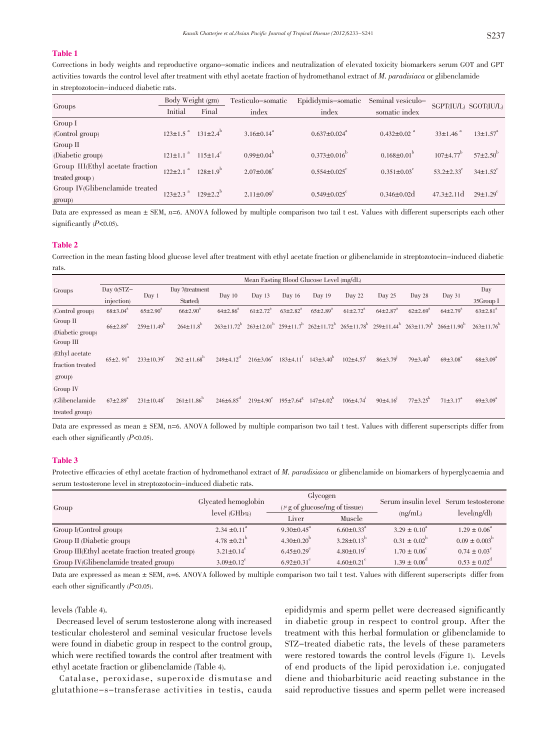#### Table 1

Corrections in body weights and reproductive organo-somatic indices and neutralization of elevated toxicity biomarkers serum GOT and GPT activities towards the control level after treatment with ethyl acetate fraction of hydromethanol extract of M. paradisiaca or glibenclamide in streptozotocin-induced diabetic rats.

| Groups                           | Body Weight (gm)           |                            | Testiculo-somatic            | Epididymis-somatic             | Seminal vesiculo-             |                              |                     |
|----------------------------------|----------------------------|----------------------------|------------------------------|--------------------------------|-------------------------------|------------------------------|---------------------|
|                                  | Initial                    | Final                      | index                        | index                          | somatic index                 | SGPT(IU/L) SGOT(IU/L)        |                     |
| Group I                          |                            |                            |                              |                                |                               |                              |                     |
| (Control group)                  | $123 \pm 1.5$ <sup>a</sup> | $131\pm2.4^{b}$            | $3.16 \pm 0.14$ <sup>a</sup> | $0.637 \pm 0.024$ <sup>a</sup> | $0.432 \pm 0.02$ <sup>a</sup> | $33\pm1.46$ <sup>a</sup>     | $13\pm1.57^{4}$     |
| Group II                         |                            |                            |                              |                                |                               |                              |                     |
| (Diabetic group)                 | $121 \pm 1.1$ <sup>a</sup> | $115 \pm 1.4$ <sup>c</sup> | $0.99 \pm 0.04^{\rm b}$      | $0.373 \pm 0.016$              | $0.168 \pm 0.01^{\circ}$      | $107\pm4.77$ <sup>b</sup>    | $57\pm2.50^{\circ}$ |
| Group III(Ethyl acetate fraction | $122 \pm 2.1$ <sup>a</sup> | $128 \pm 1.9$ <sup>b</sup> | $2.07 \pm 0.08$ <sup>c</sup> | $0.554 \pm 0.025$ <sup>e</sup> | $0.351 \pm 0.03$ <sup>c</sup> | $53.2 \pm 2.33$ <sup>c</sup> | $34\pm1.52^{\circ}$ |
| treated group)                   |                            |                            |                              |                                |                               |                              |                     |
| Group IV(Glibenclamide treated   | $123 \pm 2.3$ <sup>a</sup> | $129 \pm 2.2^{b}$          | $2.11 \pm 0.09$ <sup>c</sup> | $0.549 \pm 0.025$              | $0.346 \pm 0.02d$             | $47.3 \pm 2.11$ d            | $29\pm1.29$ °       |
| group)                           |                            |                            |                              |                                |                               |                              |                     |

Data are expressed as mean  $\pm$  SEM, n=6. ANOVA followed by multiple comparison two tail t est. Values with different superscripts each other significantly  $(P<0.05)$ .

#### Table 2

Correction in the mean fasting blood glucose level after treatment with ethyl acetate fraction or glibenclamide in streptozotocin-induced diabetic rats.

|                  | Mean Fasting Blood Glucose Level (mg/dL) |                              |                              |                             |                                                                  |                          |                                                     |                           |                          |                          |                                                                                                                                |                 |
|------------------|------------------------------------------|------------------------------|------------------------------|-----------------------------|------------------------------------------------------------------|--------------------------|-----------------------------------------------------|---------------------------|--------------------------|--------------------------|--------------------------------------------------------------------------------------------------------------------------------|-----------------|
| Groups           | Day 0(STZ-                               | Day 1                        | Day 7(treatment              | Day 10                      | Day $13$                                                         | Day $16$                 | Day $19$                                            | Day 22                    | Day $25$                 | Day 28                   | Day $31$                                                                                                                       | Day             |
|                  | injection)                               |                              | Started)                     |                             |                                                                  |                          |                                                     |                           |                          |                          |                                                                                                                                | 35Group I       |
| (Control group)  | $68\pm3.04^a$                            | $65\pm2.90^{\circ}$          | $66{\pm}2.90^a$              | $64\pm2.86^{4}$             | $61\pm2.72$ <sup>a</sup>                                         | $63\pm2.82$ <sup>a</sup> | $65\pm2.89$ <sup>a</sup>                            | $61\pm2.72$ <sup>a</sup>  | $64\pm2.87$ <sup>a</sup> | $62\pm2.69$ <sup>a</sup> | $64\pm2.79$ <sup>a</sup>                                                                                                       | $63\pm2.81^{4}$ |
| Group II         |                                          | $259\pm11.49^{\circ}$        | $264 \pm 11.8$ <sup>b</sup>  |                             |                                                                  |                          |                                                     |                           |                          |                          | $263\pm11.72^b$ $263\pm12.01^b$ $259\pm11.7^b$ $262\pm11.72^b$ $265\pm11.78^b$ $259\pm11.44^b$ $263\pm11.79^b$ $266\pm11.90^b$ | $263 \pm 11.76$ |
| (Diabetic group) | $66{\pm}2.89^{4}$                        |                              |                              |                             |                                                                  |                          |                                                     |                           |                          |                          |                                                                                                                                |                 |
| Group III        |                                          |                              |                              |                             |                                                                  |                          |                                                     |                           |                          |                          |                                                                                                                                |                 |
| (Ethyl acetate   |                                          |                              |                              |                             |                                                                  |                          |                                                     |                           |                          |                          |                                                                                                                                |                 |
| fraction treated | $65\pm2.91$ <sup>a</sup>                 | $233\pm10.39$ <sup>c</sup>   | $262 \pm 11.68$ <sup>b</sup> |                             | $249\pm4.12^{d}$ $216\pm3.06^{e}$                                |                          | $183\pm4.11$ <sup>t</sup> $143\pm3.40$ <sup>h</sup> | $102\pm4.57$ <sup>1</sup> | $86\pm3.79$ <sup>J</sup> | $79\pm3.40^{k}$          | $69{\pm}3.08^{a}$                                                                                                              | $68\pm3.09^{4}$ |
| group)           |                                          |                              |                              |                             |                                                                  |                          |                                                     |                           |                          |                          |                                                                                                                                |                 |
| Group IV         |                                          |                              |                              |                             |                                                                  |                          |                                                     |                           |                          |                          |                                                                                                                                |                 |
| (Glibenclamide)  | $67\pm2.89$ <sup>a</sup>                 | $231 \pm 10.48$ <sup>c</sup> | $261 \pm 11.86$ <sup>b</sup> | $246 \pm 6.85$ <sup>d</sup> | $219\pm4.90^{\circ}$ 195 $\pm7.64^{\circ}$ 147 $\pm4.02^{\circ}$ |                          |                                                     | $106 \pm 4.74$            | $90\pm4.16$              | $77\pm3.25^{k}$          | $71\pm3.17$ <sup>a</sup>                                                                                                       | $69{\pm}3.09^4$ |
| treated group)   |                                          |                              |                              |                             |                                                                  |                          |                                                     |                           |                          |                          |                                                                                                                                |                 |

Data are expressed as mean  $\pm$  SEM, n=6. ANOVA followed by multiple comparison two tail t test. Values with different superscripts differ from each other significantly  $(P<0.05)$ .

#### Table 3

Protective efficacies of ethyl acetate fraction of hydromethanol extract of M. paradisiaca or glibenclamide on biomarkers of hyperglycaemia and serum testosterone level in streptozotocin-induced diabetic rats.

| Group                                           | Glycated hemoglobin          |                              | Glycogen<br>( $\mu$ g of glucose/mg of tissue) | Serum insulin level Serum testosterone | level(ng/dl)             |  |
|-------------------------------------------------|------------------------------|------------------------------|------------------------------------------------|----------------------------------------|--------------------------|--|
|                                                 | $level (GHb\%)$              | Liver                        | Muscle                                         | (ng/mL)                                |                          |  |
| Group I(Control group)                          | $2.34 \pm 0.11$ <sup>a</sup> | $9.30 \pm 0.45$ <sup>a</sup> | $6.60 \pm 0.33$ <sup>a</sup>                   | $3.29 \pm 0.10^4$                      | $1.29 \pm 0.06^4$        |  |
| Group II (Diabetic group)                       | 4.78 $\pm 0.21^{\rm b}$      | $4.30\pm0.20^{b}$            | $3.28 \pm 0.13^{\circ}$                        | $0.31 \pm 0.02^{\rm b}$                | $0.09 \pm 0.003^{\rm b}$ |  |
| Group III(Ethyl acetate fraction treated group) | $3.21 \pm 0.14$ <sup>c</sup> | $6.45 \pm 0.29$ <sup>c</sup> | $4.80 \pm 0.19$ <sup>c</sup>                   | $1.70 \pm 0.06^{\circ}$                | $0.74 \pm 0.03^{\circ}$  |  |
| Group IV(Glibenclamide treated group)           | $3.09 \pm 0.12$ <sup>c</sup> | $6.92 \pm 0.31$ <sup>c</sup> | $4.60 \pm 0.21$ <sup>c</sup>                   | $1.39 \pm 0.06^{\text{d}}$             | $0.53 \pm 0.02^{\circ}$  |  |

Data are expressed as mean  $\pm$  SEM, n=6. ANOVA followed by multiple comparison two tail t test. Values with different superscripts differ from each other significantly  $(P<0.05)$ .

levels (Table 4).

Decreased level of serum testosterone along with increased testicular cholesterol and seminal vesicular fructose levels were found in diabetic group in respect to the control group, which were rectified towards the control after treatment with ethyl acetate fraction or glibenclamide (Table 4).

Catalase, peroxidase, superoxide dismutase and glutathione-s-transferase activities in testis, cauda epididymis and sperm pellet were decreased significantly in diabetic group in respect to control group. After the treatment with this herbal formulation or glibenclamide to STZ-treated diabetic rats, the levels of these parameters were restored towards the control levels (Figure 1). Levels of end products of the lipid peroxidation i.e. conjugated diene and thiobarbituric acid reacting substance in the said reproductive tissues and sperm pellet were increased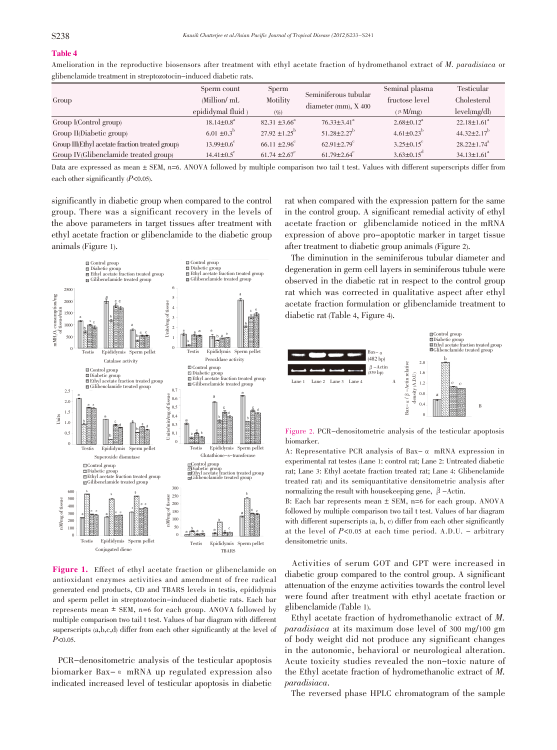# Table 4

Amelioration in the reproductive biosensors after treatment with ethyl acetate fraction of hydromethanol extract of M. paradisiaca or glibenclamide treatment in streptozotocin-induced diabetic rats.

|                                                 | Sperm count                  | Sperm                         | Seminiferous tubular          | Seminal plasma               | Testicular                    |
|-------------------------------------------------|------------------------------|-------------------------------|-------------------------------|------------------------------|-------------------------------|
| Group                                           | (Million/ mL                 | Motility                      |                               | fructose level               | Cholesterol                   |
|                                                 | epididymal fluid)            | $(\%)$                        | diameter $(mm)$ , $X$ 400     | $(\mu M/mg)$                 | level(mg/dl)                  |
| Group I(Control group)                          | $18.14 \pm 0.8$ <sup>a</sup> | $82.31 \pm 3.66^4$            | $76.33 \pm 3.41$ <sup>a</sup> | $2.68 \pm 0.12^{\text{a}}$   | $22.18 \pm 1.61$ <sup>a</sup> |
| Group II(Diabetic group)                        | $6.01 \pm 0.3^{\rm b}$       | $27.92 \pm 1.25^{\mathrm{b}}$ | $51.28 \pm 2.27$ <sup>b</sup> | $4.61 \pm 0.23^{b}$          | $44.32 \pm 2.17^{\mathrm{b}}$ |
| Group III(Ethyl acetate fraction treated group) | $13.99 \pm 0.6$ <sup>c</sup> | $66.11 \pm 2.96^\circ$        | $62.91 \pm 2.79$ <sup>c</sup> | $3.25 \pm 0.15$ <sup>c</sup> | $28.22 \pm 1.74$ <sup>a</sup> |
| Group IV(Glibenclamide treated group)           | $14.41 \pm 0.5$ <sup>c</sup> | $61.74 \pm 2.67$ <sup>c</sup> | $61.79 \pm 2.64$ <sup>c</sup> | $3.63 \pm 0.15$ <sup>d</sup> | $34.13 \pm 1.61$ <sup>a</sup> |

Data are expressed as mean  $\pm$  SEM, n=6. ANOVA followed by multiple comparison two tail t test. Values with different superscripts differ from each other significantly  $(P<0.05)$ .

significantly in diabetic group when compared to the control group. There was a significant recovery in the levels of the above parameters in target tissues after treatment with ethyl acetate fraction or glibenclamide to the diabetic group animals (Figure 1).



Figure 1. Effect of ethyl acetate fraction or glibenclamide on antioxidant enzymes activities and amendment of free radical generated end products, CD and TBARS levels in testis, epididymis and sperm pellet in streptozotocin-induced diabetic rats. Each bar represents mean  $\pm$  SEM, n=6 for each group. ANOVA followed by multiple comparison two tail t test. Values of bar diagram with different superscripts (a,b,c,d) differ from each other significantly at the level of  $P<sub>0.05</sub>$ .

PCR-denositometric analysis of the testicular apoptosis biomarker Bax- $\alpha$  mRNA up regulated expression also indicated increased level of testicular apoptosis in diabetic

rat when compared with the expression pattern for the same in the control group. A significant remedial activity of ethyl acetate fraction or glibenclamide noticed in the mRNA expression of above pro-apoptotic marker in target tissue after treatment to diabetic group animals (Figure 2).

The diminution in the seminiferous tubular diameter and degeneration in germ cell layers in seminiferous tubule were observed in the diabetic rat in respect to the control group rat which was corrected in qualitative aspect after ethyl acetate fraction formulation or glibenclamide treatment to diabetic rat (Table 4, Figure 4).



Figure 2. PCR-denositometric analysis of the testicular apoptosis biomarker.

A: Representative PCR analysis of Bax- $\alpha$  mRNA expression in experimental rat testes (Lane 1: control rat; Lane 2: Untreated diabetic rat; Lane 3: Ethyl acetate fraction treated rat; Lane 4: Glibenclamide treated rat) and its semiquantitative densitometric analysis after normalizing the result with housekeeping gene,  $\beta$  -Actin.

B: Each bar represents mean ± SEM, n=6 for each group. ANOVA followed by multiple comparison two tail t test. Values of bar diagram with different superscripts (a, b, c) differ from each other significantly at the level of  $P<0.05$  at each time period. A.D.U. - arbitrary densitometric units.

Activities of serum GOT and GPT were increased in diabetic group compared to the control group. A significant attenuation of the enzyme activities towards the control level were found after treatment with ethyl acetate fraction or glibenclamide (Table 1).

Ethyl acetate fraction of hydromethanolic extract of M. paradisiaca at its maximum dose level of <sup>300</sup> mg/100 gm of body weight did not produce any significant changes in the autonomic, behavioral or neurological alteration. Acute toxicity studies revealed the non-toxic nature of the Ethyl acetate fraction of hydromethanolic extract of M. paradisiaca.

The reversed phase HPLC chromatogram of the sample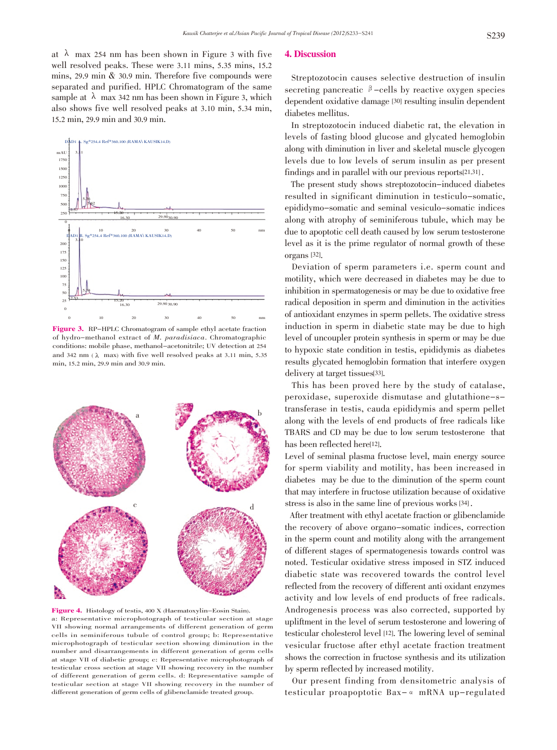at  $\lambda$  max 254 nm has been shown in Figure 3 with five well resolved peaks. These were 3.11 mins, 5.35 mins, 15.2 mins, 29.9 min & 30.9 min. Therefore five compounds were separated and purified. HPLC Chromatogram of the same sample at  $\lambda$  max 342 nm has been shown in Figure 3, which also shows five well resolved peaks at 3.10 min, 5.34 min, 15.2 min, 29.9 min and 30.9 min.



Figure 3. RP-HPLC Chromatogram of sample ethyl acetate fraction of hydro-methanol extract of M. paradisiaca. Chromatographic conditions: mobile phase, methanol-acetonitrile; UV detection at 254 and 342 nm ( $\lambda$  max) with five well resolved peaks at 3.11 min, 5.35 min, 15.2 min, 29.9 min and 30.9 min.



Figure 4. Histology of testis, <sup>400</sup> X (Haematoxylin-Eosin Stain). a: Representative microphotograph of testicular section at stage VII showing normal arrangements of different generation of germ cells in seminiferous tubule of control group; b: Representative microphotograph of testicular section showing diminution in the number and disarrangements in different generation of germ cells at stage VII of diabetic group; c: Representative microphotograph of testicular cross section at stage VII showing recovery in the number of different generation of germ cells. d: Representative sample of testicular section at stage VII showing recovery in the number of different generation of germ cells of glibenclamide treated group.

#### 4. Discussion

Streptozotocin causes selective destruction of insulin secreting pancreatic  $\beta$ -cells by reactive oxygen species dependent oxidative damage [30] resulting insulin dependent diabetes mellitus.

In streptozotocin induced diabetic rat, the elevation in levels of fasting blood glucose and glycated hemoglobin along with diminution in liver and skeletal muscle glycogen levels due to low levels of serum insulin as per present findings and in parallel with our previous reports[21,31] .

The present study shows streptozotocin-induced diabetes resulted in significant diminution in testiculo-somatic, epididymo-somatic and seminal vesiculo-somatic indices along with atrophy of seminiferous tubule, which may be due to apoptotic cell death caused by low serum testosterone level as it is the prime regulator of normal growth of these organs [32].

Deviation of sperm parameters i.e. sperm count and motility, which were decreased in diabetes may be due to inhibition in spermatogenesis or may be due to oxidative free radical deposition in sperm and diminution in the activities of antioxidant enzymes in sperm pellets. The oxidative stress induction in sperm in diabetic state may be due to high level of uncoupler protein synthesis in sperm or may be due to hypoxic state condition in testis, epididymis as diabetes results glycated hemoglobin formation that interfere oxygen delivery at target tissues[33].

This has been proved here by the study of catalase, peroxidase, superoxide dismutase and glutathione-stransferase in testis, cauda epididymis and sperm pellet along with the levels of end products of free radicals like TBARS and CD may be due to low serum testosterone that has been reflected here[12].

Level of seminal plasma fructose level, main energy source for sperm viability and motility, has been increased in diabetes may be due to the diminution of the sperm count that may interfere in fructose utilization because of oxidative stress is also in the same line of previous works [34] .

After treatment with ethyl acetate fraction or glibenclamide the recovery of above organo-somatic indices, correction in the sperm count and motility along with the arrangement of different stages of spermatogenesis towards control was noted. Testicular oxidative stress imposed in STZ induced diabetic state was recovered towards the control level reflected from the recovery of different anti oxidant enzymes activity and low levels of end products of free radicals. Androgenesis process was also corrected, supported by upliftment in the level of serum testosterone and lowering of testicular cholesterol level [12]. The lowering level of seminal vesicular fructose after ethyl acetate fraction treatment shows the correction in fructose synthesis and its utilization by sperm reflected by increased motility.

Our present finding from densitometric analysis of testicular proapoptotic Bax- $\alpha$  mRNA up-regulated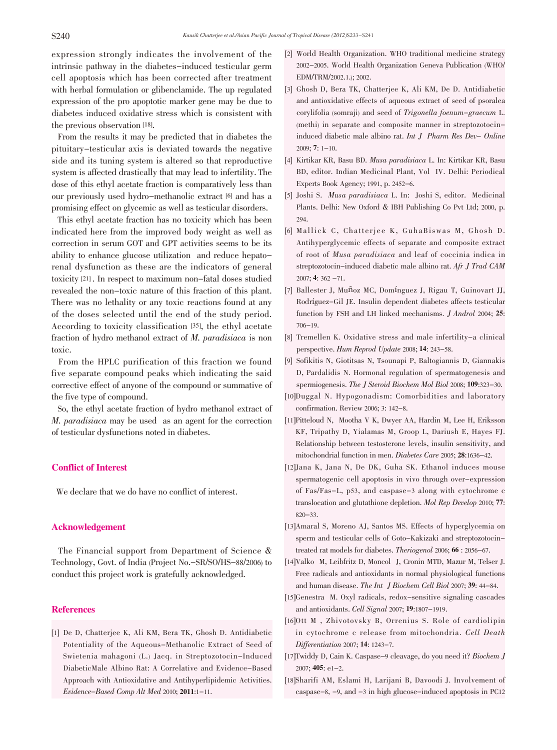expression strongly indicates the involvement of the intrinsic pathway in the diabetes-induced testicular germ cell apoptosis which has been corrected after treatment with herbal formulation or glibenclamide. The up regulated expression of the pro apoptotic marker gene may be due to diabetes induced oxidative stress which is consistent with the previous observation [18].

From the results it may be predicted that in diabetes the pituitary-testicular axis is deviated towards the negative side and its tuning system is altered so that reproductive system is affected drastically that may lead to infertility. The dose of this ethyl acetate fraction is comparatively less than our previously used hydro-methanolic extract [6] and has a promising effect on glycemic as well as testicular disorders.

This ethyl acetate fraction has no toxicity which has been indicated here from the improved body weight as well as correction in serum GOT and GPT activities seems to be its ability to enhance glucose utilization and reduce hepatorenal dysfunction as these are the indicators of general toxicity [21] . In respect to maximum non-fatal doses studied revealed the non-toxic nature of this fraction of this plant. There was no lethality or any toxic reactions found at any of the doses selected until the end of the study period. According to toxicity classification [35], the ethyl acetate fraction of hydro methanol extract of M. paradisiaca is non toxic.

From the HPLC purification of this fraction we found five separate compound peaks which indicating the said corrective effect of anyone of the compound or summative of the five type of compound.

So, the ethyl acetate fraction of hydro methanol extract of M. paradisiaca may be used as an agent for the correction of testicular dysfunctions noted in diabetes.

# Conflict of Interest

We declare that we do have no conflict of interest.

#### Acknowledgement

The Financial support from Department of Science & Technology, Govt. of India (Project No.-SR/SO/HS-88/2006) to conduct this project work is gratefully acknowledged.

## **References**

[1] De D, Chatterjee K, Ali KM, Bera TK, Ghosh D. Antidiabetic Potentiality of the Aqueous-Methanolic Extract of Seed of Swietenia mahagoni (L.) Jacq. in Streptozotocin-Induced DiabeticMale Albino Rat: A Correlative and Evidence-Based Approach with Antioxidative and Antihyperlipidemic Activities. Evidence-Based Comp Alt Med 2010; 2011:1-11.

- [2] World Health Organization. WHO traditional medicine strategy 2002-2005. World Health Organization Geneva Publication (WHO/ EDM/TRM/2002.1.); 2002.
- [3] Ghosh D, Bera TK, Chatterjee K, Ali KM, De D. Antidiabetic and antioxidative effects of aqueous extract of seed of psoralea corylifolia (somraji) and seed of Trigonella foenum-graecum L. (methi) in separate and composite manner in streptozotocininduced diabetic male albino rat. Int J Pharm Res Dev- Online  $2009$ ; 7: 1-10.
- [4] Kirtikar KR, Basu BD. Musa paradisiaca L. In: Kirtikar KR, Basu BD, editor. Indian Medicinal Plant, Vol IV. Delhi: Periodical Experts Book Agency; 1991, p. 2452-6.
- [5] Joshi S. Musa paradisiaca L. In: Joshi S, editor. Medicinal Plants. Delhi: New Oxford & IBH Publishing Co Pvt Ltd; 2000, p. 294.
- [6] Mallick C, Chatterjee K, GuhaBiswas M, Ghosh D. Antihyperglycemic effects of separate and composite extract of root of Musa paradisiaca and leaf of coccinia indica in streptozotocin-induced diabetic male albino rat. Afr J Trad CAM 2007; 4: <sup>362</sup> -71.
- [7] Ballester J, Muñoz MC, Domínguez J, Rigau T, Guinovart JJ, Rodríguez-Gil JE. Insulin dependent diabetes affects testicular function by FSH and LH linked mechanisms. J Androl 2004; 25: 706-19.
- [8] Tremellen K. Oxidative stress and male infertility-a clinical perspective. Hum Reprod Update 2008; 14: 243-58.
- [9] Sofikitis N, Giotitsas N, Tsounapi P, Baltogiannis D, Giannakis D, Pardalidis N. Hormonal regulation of spermatogenesis and spermiogenesis. The J Steroid Biochem Mol Biol 2008; 109:323-30.
- [10]Duggal N. Hypogonadism: Comorbidities and laboratory confirmation. Review 2006; 3: 142-8.
- [11]Pitteloud N, Mootha V K, Dwyer AA, Hardin M, Lee H, Eriksson KF, Tripathy D, Yialamas M, Groop L, Dariush E, Hayes FJ. Relationship between testosterone levels, insulin sensitivity, and mitochondrial function in men. Diabetes Care 2005; 28:1636-42.
- [12]Jana K, Jana N, De DK, Guha SK. Ethanol induces mouse spermatogenic cell apoptosis in vivo through over-expression of Fas/Fas-L, p53, and caspase-3 along with cytochrome c translocation and glutathione depletion. Mol Rep Develop 2010; 77: 820-33.
- [13]Amaral S, Moreno AJ, Santos MS. Effects of hyperglycemia on sperm and testicular cells of Goto-Kakizaki and streptozotocintreated rat models for diabetes. Theriogenol 2006; 66 : 2056-67.
- [14]Valko M, Leibfritz D, Moncol J, Cronin MTD, Mazur M, Telser J. Free radicals and antioxidants in normal physiological functions and human disease. The Int J Biochem Cell Biol 2007; 39: 44-84.
- [15]Genestra M. Oxyl radicals, redox-sensitive signaling cascades and antioxidants. Cell Signal 2007; 19:1807-1919.
- [16]Ott M , Zhivotovsky B, Orrenius S. Role of cardiolipin in cytochrome c release from mitochondria. Cell Death Differentiation 2007; 14: 1243-7.
- [17]Twiddy D, Cain K. Caspase-9 cleavage, do you need it? Biochem J 2007; 405: e1-2.
- [18]Sharifi AM, Eslami H, Larijani B, Davoodi J. Involvement of caspase-8, -9, and -3 in high glucose-induced apoptosis in PC12